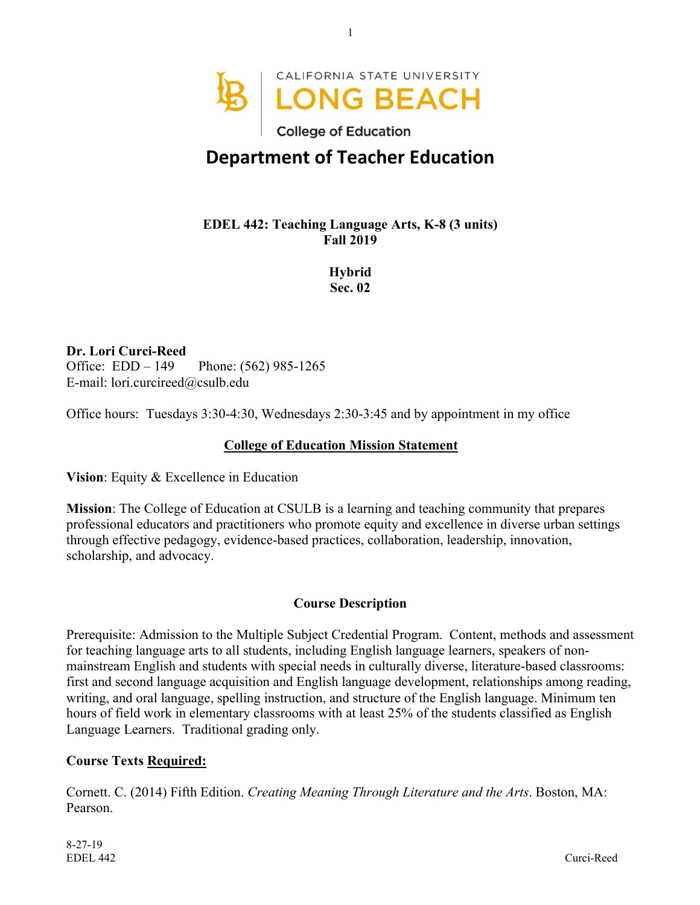

# **Department of Teacher Education**

### **EDEL 442: Teaching Language Arts, K-8 (3 units) Fall 2019**

**Hybrid Sec. 02**

**Dr. Lori Curci-Reed** Office: EDD – 149 Phone: (562) 985-1265 E-mail: lori.curcireed@csulb.edu

Office hours: Tuesdays 3:30-4:30, Wednesdays 2:30-3:45 and by appointment in my office

#### **College of Education Mission Statement**

**Vision**: Equity & Excellence in Education

**Mission**: The College of Education at CSULB is a learning and teaching community that prepares professional educators and practitioners who promote equity and excellence in diverse urban settings through effective pedagogy, evidence-based practices, collaboration, leadership, innovation, scholarship, and advocacy.

#### **Course Description**

Prerequisite: Admission to the Multiple Subject Credential Program. Content, methods and assessment for teaching language arts to all students, including English language learners, speakers of nonmainstream English and students with special needs in culturally diverse, literature-based classrooms: first and second language acquisition and English language development, relationships among reading, writing, and oral language, spelling instruction, and structure of the English language. Minimum ten hours of field work in elementary classrooms with at least 25% of the students classified as English Language Learners. Traditional grading only.

#### **Course Texts Required:**

Cornett. C. (2014) Fifth Edition. *Creating Meaning Through Literature and the Arts*. Boston, MA: Pearson.

8-27-19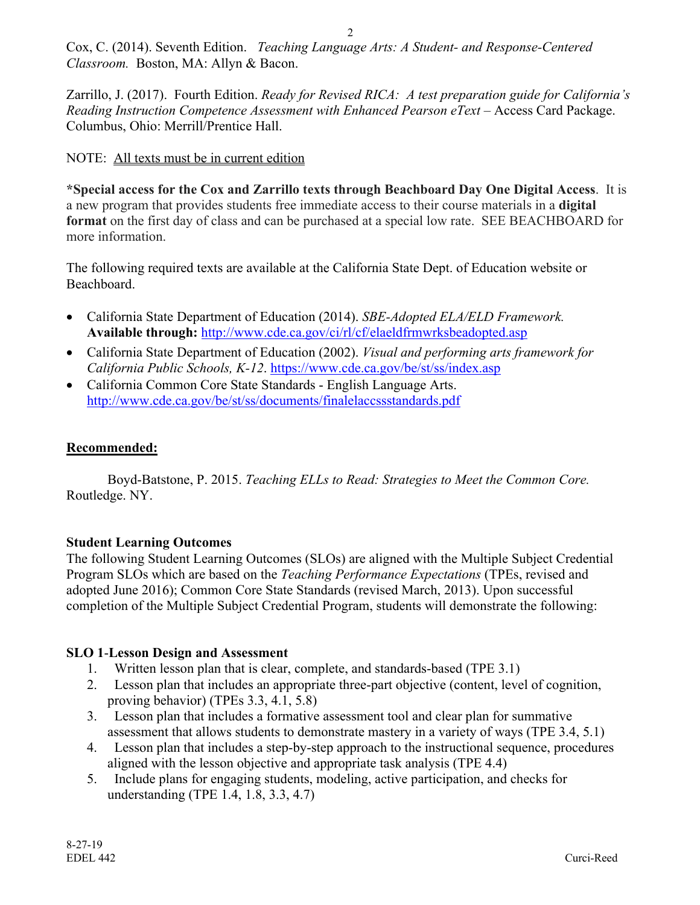Cox, C. (2014). Seventh Edition. *Teaching Language Arts: A Student- and Response-Centered Classroom.* Boston, MA: Allyn & Bacon.

Zarrillo, J. (2017). Fourth Edition. *Ready for Revised RICA: A test preparation guide for California's Reading Instruction Competence Assessment with Enhanced Pearson eText* – Access Card Package. Columbus, Ohio: Merrill/Prentice Hall.

## NOTE: All texts must be in current edition

**\*Special access for the Cox and Zarrillo texts through Beachboard Day One Digital Access**. It is a new program that provides students free immediate access to their course materials in a **digital format** on the first day of class and can be purchased at a special low rate. SEE BEACHBOARD for more information.

The following required texts are available at the California State Dept. of Education website or Beachboard.

- California State Department of Education (2014). *SBE-Adopted ELA/ELD Framework.* **Available through:** http://www.cde.ca.gov/ci/rl/cf/elaeldfrmwrksbeadopted.asp
- California State Department of Education (2002). *Visual and performing arts framework for California Public Schools, K-12*. https://www.cde.ca.gov/be/st/ss/index.asp
- California Common Core State Standards English Language Arts. http://www.cde.ca.gov/be/st/ss/documents/finalelaccssstandards.pdf

## **Recommended:**

Boyd-Batstone, P. 2015. *Teaching ELLs to Read: Strategies to Meet the Common Core.*  Routledge. NY.

## **Student Learning Outcomes**

The following Student Learning Outcomes (SLOs) are aligned with the Multiple Subject Credential Program SLOs which are based on the *Teaching Performance Expectations* (TPEs, revised and adopted June 2016); Common Core State Standards (revised March, 2013). Upon successful completion of the Multiple Subject Credential Program, students will demonstrate the following:

#### **SLO 1**-**Lesson Design and Assessment**

- 1. Written lesson plan that is clear, complete, and standards-based (TPE 3.1)
- 2. Lesson plan that includes an appropriate three-part objective (content, level of cognition, proving behavior) (TPEs 3.3, 4.1, 5.8)
- 3. Lesson plan that includes a formative assessment tool and clear plan for summative assessment that allows students to demonstrate mastery in a variety of ways (TPE 3.4, 5.1)
- 4. Lesson plan that includes a step-by-step approach to the instructional sequence, procedures aligned with the lesson objective and appropriate task analysis (TPE 4.4)
- 5. Include plans for engaging students, modeling, active participation, and checks for understanding (TPE 1.4, 1.8, 3.3, 4.7)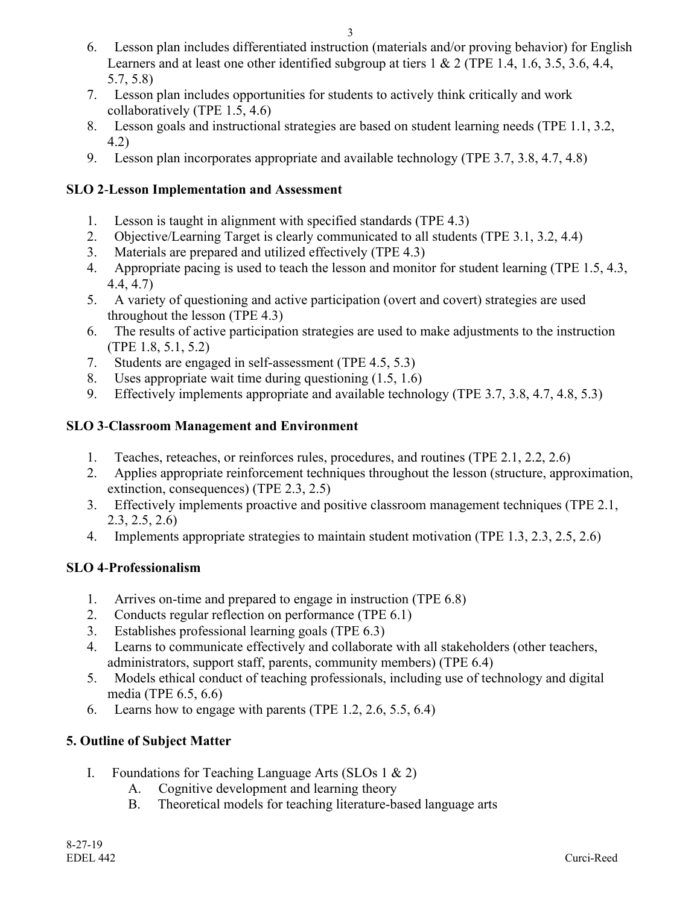- 6. Lesson plan includes differentiated instruction (materials and/or proving behavior) for English Learners and at least one other identified subgroup at tiers 1 & 2 (TPE 1.4, 1.6, 3.5, 3.6, 4.4, 5.7, 5.8)
- 7. Lesson plan includes opportunities for students to actively think critically and work collaboratively (TPE 1.5, 4.6)
- 8. Lesson goals and instructional strategies are based on student learning needs (TPE 1.1, 3.2, 4.2)
- 9. Lesson plan incorporates appropriate and available technology (TPE 3.7, 3.8, 4.7, 4.8)

## **SLO 2**-**Lesson Implementation and Assessment**

- 1. Lesson is taught in alignment with specified standards (TPE 4.3)
- 2. Objective/Learning Target is clearly communicated to all students (TPE 3.1, 3.2, 4.4)
- 3. Materials are prepared and utilized effectively (TPE 4.3)
- 4. Appropriate pacing is used to teach the lesson and monitor for student learning (TPE 1.5, 4.3, 4.4, 4.7)
- 5. A variety of questioning and active participation (overt and covert) strategies are used throughout the lesson (TPE 4.3)
- 6. The results of active participation strategies are used to make adjustments to the instruction (TPE 1.8, 5.1, 5.2)
- 7. Students are engaged in self-assessment (TPE 4.5, 5.3)
- 8. Uses appropriate wait time during questioning (1.5, 1.6)
- 9. Effectively implements appropriate and available technology (TPE 3.7, 3.8, 4.7, 4.8, 5.3)

## **SLO 3**-**Classroom Management and Environment**

- 1. Teaches, reteaches, or reinforces rules, procedures, and routines (TPE 2.1, 2.2, 2.6)
- 2. Applies appropriate reinforcement techniques throughout the lesson (structure, approximation, extinction, consequences) (TPE 2.3, 2.5)
- 3. Effectively implements proactive and positive classroom management techniques (TPE 2.1, 2.3, 2.5, 2.6)
- 4. Implements appropriate strategies to maintain student motivation (TPE 1.3, 2.3, 2.5, 2.6)

#### **SLO 4**-**Professionalism**

- 1. Arrives on-time and prepared to engage in instruction (TPE 6.8)
- 2. Conducts regular reflection on performance (TPE 6.1)
- 3. Establishes professional learning goals (TPE 6.3)
- 4. Learns to communicate effectively and collaborate with all stakeholders (other teachers, administrators, support staff, parents, community members) (TPE 6.4)
- 5. Models ethical conduct of teaching professionals, including use of technology and digital media (TPE 6.5, 6.6)
- 6. Learns how to engage with parents (TPE 1.2, 2.6, 5.5, 6.4)

## **5. Outline of Subject Matter**

- I. Foundations for Teaching Language Arts (SLOs 1 & 2)
	- A. Cognitive development and learning theory
	- B. Theoretical models for teaching literature-based language arts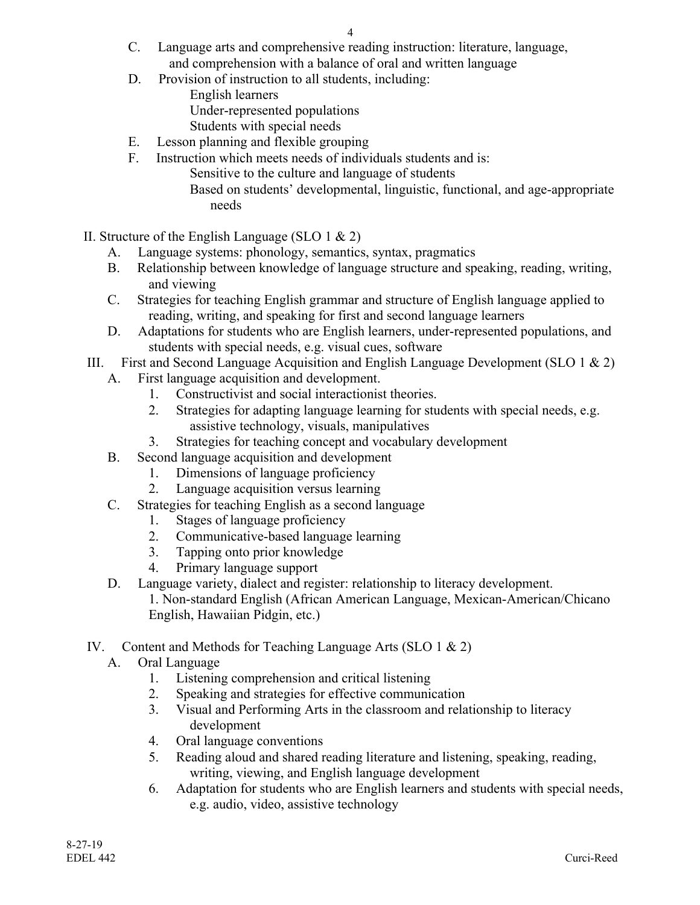- C. Language arts and comprehensive reading instruction: literature, language, and comprehension with a balance of oral and written language
- D. Provision of instruction to all students, including: English learners Under-represented populations
	- Students with special needs
- E. Lesson planning and flexible grouping
- F. Instruction which meets needs of individuals students and is:
	- Sensitive to the culture and language of students
	- Based on students' developmental, linguistic, functional, and age-appropriate needs
- II. Structure of the English Language (SLO 1  $\&$  2)
	- A. Language systems: phonology, semantics, syntax, pragmatics
	- B. Relationship between knowledge of language structure and speaking, reading, writing, and viewing
	- C. Strategies for teaching English grammar and structure of English language applied to reading, writing, and speaking for first and second language learners
	- D. Adaptations for students who are English learners, under-represented populations, and students with special needs, e.g. visual cues, software
- III. First and Second Language Acquisition and English Language Development (SLO 1  $\&$  2)
	- A. First language acquisition and development.
		- 1. Constructivist and social interactionist theories.
		- 2. Strategies for adapting language learning for students with special needs, e.g. assistive technology, visuals, manipulatives
		- 3. Strategies for teaching concept and vocabulary development
	- B. Second language acquisition and development
		- 1. Dimensions of language proficiency
		- 2. Language acquisition versus learning
	- C. Strategies for teaching English as a second language
		- 1. Stages of language proficiency
		- 2. Communicative-based language learning
		- 3. Tapping onto prior knowledge
		- 4. Primary language support
	- D. Language variety, dialect and register: relationship to literacy development.

1. Non-standard English (African American Language, Mexican-American/Chicano English, Hawaiian Pidgin, etc.)

- IV. Content and Methods for Teaching Language Arts (SLO 1 & 2)
	- A. Oral Language
		- 1. Listening comprehension and critical listening
		- 2. Speaking and strategies for effective communication
		- 3. Visual and Performing Arts in the classroom and relationship to literacy development
		- 4. Oral language conventions
		- 5. Reading aloud and shared reading literature and listening, speaking, reading, writing, viewing, and English language development
		- 6. Adaptation for students who are English learners and students with special needs, e.g. audio, video, assistive technology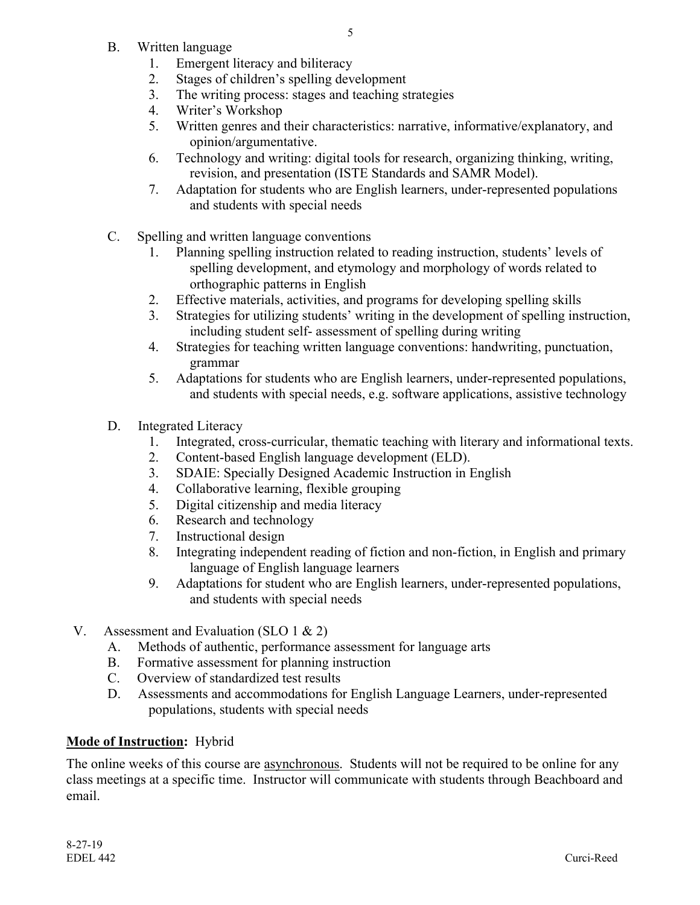- B. Written language
	- 1. Emergent literacy and biliteracy
	- 2. Stages of children's spelling development
	- 3. The writing process: stages and teaching strategies
	- 4. Writer's Workshop
	- 5. Written genres and their characteristics: narrative, informative/explanatory, and opinion/argumentative.
	- 6. Technology and writing: digital tools for research, organizing thinking, writing, revision, and presentation (ISTE Standards and SAMR Model).
	- 7. Adaptation for students who are English learners, under-represented populations and students with special needs
- C. Spelling and written language conventions
	- 1. Planning spelling instruction related to reading instruction, students' levels of spelling development, and etymology and morphology of words related to orthographic patterns in English
	- 2. Effective materials, activities, and programs for developing spelling skills
	- 3. Strategies for utilizing students' writing in the development of spelling instruction, including student self- assessment of spelling during writing
	- 4. Strategies for teaching written language conventions: handwriting, punctuation, grammar
	- 5. Adaptations for students who are English learners, under-represented populations, and students with special needs, e.g. software applications, assistive technology
- D. Integrated Literacy
	- 1. Integrated, cross-curricular, thematic teaching with literary and informational texts.
	- 2. Content-based English language development (ELD).
	- 3. SDAIE: Specially Designed Academic Instruction in English
	- 4. Collaborative learning, flexible grouping
	- 5. Digital citizenship and media literacy
	- 6. Research and technology
	- 7. Instructional design
	- 8. Integrating independent reading of fiction and non-fiction, in English and primary language of English language learners
	- 9. Adaptations for student who are English learners, under-represented populations, and students with special needs
- V. Assessment and Evaluation (SLO 1 & 2)
	- A. Methods of authentic, performance assessment for language arts
	- B. Formative assessment for planning instruction
	- C. Overview of standardized test results
	- D. Assessments and accommodations for English Language Learners, under-represented populations, students with special needs

## **Mode of Instruction:** Hybrid

The online weeks of this course are asynchronous. Students will not be required to be online for any class meetings at a specific time. Instructor will communicate with students through Beachboard and email.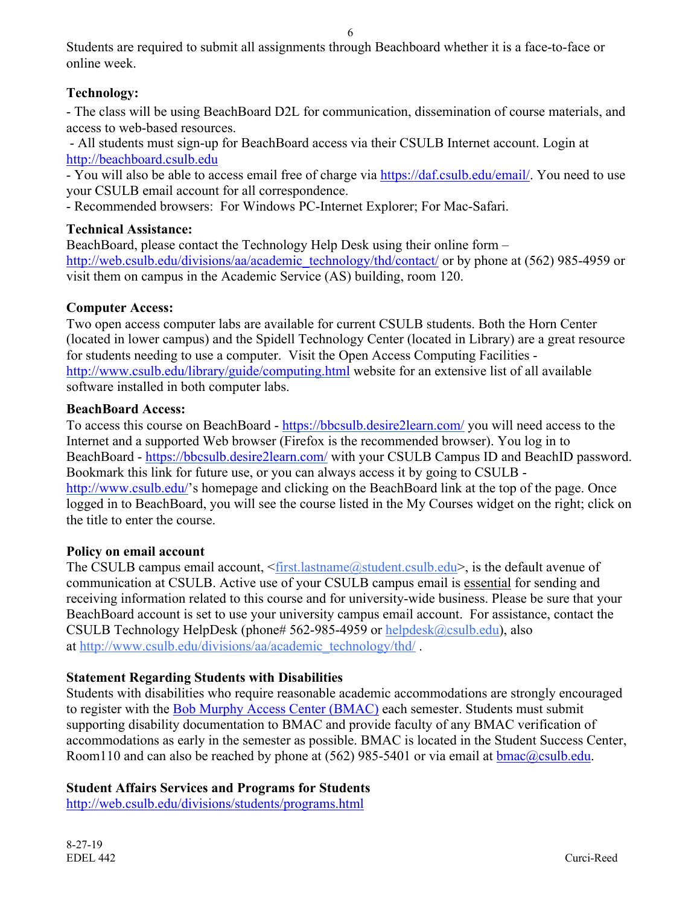Students are required to submit all assignments through Beachboard whether it is a face-to-face or online week.

## **Technology:**

- The class will be using BeachBoard D2L for communication, dissemination of course materials, and access to web-based resources.

- All students must sign-up for BeachBoard access via their CSULB Internet account. Login at http://beachboard.csulb.edu

- You will also be able to access email free of charge via https://daf.csulb.edu/email/. You need to use your CSULB email account for all correspondence.

- Recommended browsers: For Windows PC-Internet Explorer; For Mac-Safari.

## **Technical Assistance:**

BeachBoard, please contact the Technology Help Desk using their online form – http://web.csulb.edu/divisions/aa/academic\_technology/thd/contact/ or by phone at (562) 985-4959 or visit them on campus in the Academic Service (AS) building, room 120.

## **Computer Access:**

Two open access computer labs are available for current CSULB students. Both the Horn Center (located in lower campus) and the Spidell Technology Center (located in Library) are a great resource for students needing to use a computer. Visit the Open Access Computing Facilities http://www.csulb.edu/library/guide/computing.html website for an extensive list of all available software installed in both computer labs.

## **BeachBoard Access:**

To access this course on BeachBoard - https://bbcsulb.desire2learn.com/ you will need access to the Internet and a supported Web browser (Firefox is the recommended browser). You log in to BeachBoard - https://bbcsulb.desire2learn.com/ with your CSULB Campus ID and BeachID password. Bookmark this link for future use, or you can always access it by going to CSULB http://www.csulb.edu/'s homepage and clicking on the BeachBoard link at the top of the page. Once logged in to BeachBoard, you will see the course listed in the My Courses widget on the right; click on the title to enter the course.

## **Policy on email account**

The CSULB campus email account,  $\frac{\text{first} \cdot \text{lastname}(a) \cdot \text{student} \cdot \text{result}}{\text{result}}$ , is the default avenue of communication at CSULB. Active use of your CSULB campus email is essential for sending and receiving information related to this course and for university-wide business. Please be sure that your BeachBoard account is set to use your university campus email account. For assistance, contact the CSULB Technology HelpDesk (phone# 562-985-4959 or helpdesk@csulb.edu), also at http://www.csulb.edu/divisions/aa/academic\_technology/thd/.

# **Statement Regarding Students with Disabilities**

Students with disabilities who require reasonable academic accommodations are strongly encouraged to register with the Bob Murphy Access Center (BMAC) each semester. Students must submit supporting disability documentation to BMAC and provide faculty of any BMAC verification of accommodations as early in the semester as possible. BMAC is located in the Student Success Center, Room110 and can also be reached by phone at (562) 985-5401 or via email at  $bmac@csulb.edu$ .

# **Student Affairs Services and Programs for Students**

http://web.csulb.edu/divisions/students/programs.html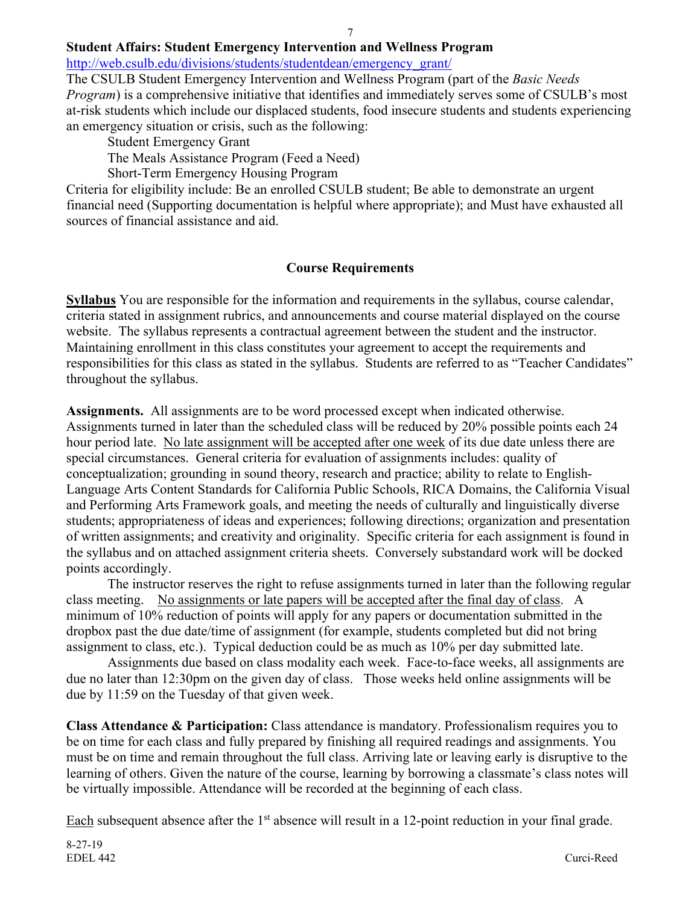## **Student Affairs: Student Emergency Intervention and Wellness Program**

http://web.csulb.edu/divisions/students/studentdean/emergency\_grant/

The CSULB Student Emergency Intervention and Wellness Program (part of the *Basic Needs Program*) is a comprehensive initiative that identifies and immediately serves some of CSULB's most at-risk students which include our displaced students, food insecure students and students experiencing an emergency situation or crisis, such as the following:

Student Emergency Grant

The Meals Assistance Program (Feed a Need)

Short-Term Emergency Housing Program

Criteria for eligibility include: Be an enrolled CSULB student; Be able to demonstrate an urgent financial need (Supporting documentation is helpful where appropriate); and Must have exhausted all sources of financial assistance and aid.

#### **Course Requirements**

**Syllabus** You are responsible for the information and requirements in the syllabus, course calendar, criteria stated in assignment rubrics, and announcements and course material displayed on the course website. The syllabus represents a contractual agreement between the student and the instructor. Maintaining enrollment in this class constitutes your agreement to accept the requirements and responsibilities for this class as stated in the syllabus. Students are referred to as "Teacher Candidates" throughout the syllabus.

**Assignments.** All assignments are to be word processed except when indicated otherwise. Assignments turned in later than the scheduled class will be reduced by 20% possible points each 24 hour period late. No late assignment will be accepted after one week of its due date unless there are special circumstances. General criteria for evaluation of assignments includes: quality of conceptualization; grounding in sound theory, research and practice; ability to relate to English-Language Arts Content Standards for California Public Schools, RICA Domains, the California Visual and Performing Arts Framework goals, and meeting the needs of culturally and linguistically diverse students; appropriateness of ideas and experiences; following directions; organization and presentation of written assignments; and creativity and originality. Specific criteria for each assignment is found in the syllabus and on attached assignment criteria sheets. Conversely substandard work will be docked points accordingly.

The instructor reserves the right to refuse assignments turned in later than the following regular class meeting. No assignments or late papers will be accepted after the final day of class. A minimum of 10% reduction of points will apply for any papers or documentation submitted in the dropbox past the due date/time of assignment (for example, students completed but did not bring assignment to class, etc.). Typical deduction could be as much as 10% per day submitted late.

Assignments due based on class modality each week. Face-to-face weeks, all assignments are due no later than 12:30pm on the given day of class. Those weeks held online assignments will be due by 11:59 on the Tuesday of that given week.

**Class Attendance & Participation:** Class attendance is mandatory. Professionalism requires you to be on time for each class and fully prepared by finishing all required readings and assignments. You must be on time and remain throughout the full class. Arriving late or leaving early is disruptive to the learning of others. Given the nature of the course, learning by borrowing a classmate's class notes will be virtually impossible. Attendance will be recorded at the beginning of each class.

Each subsequent absence after the 1<sup>st</sup> absence will result in a 12-point reduction in your final grade.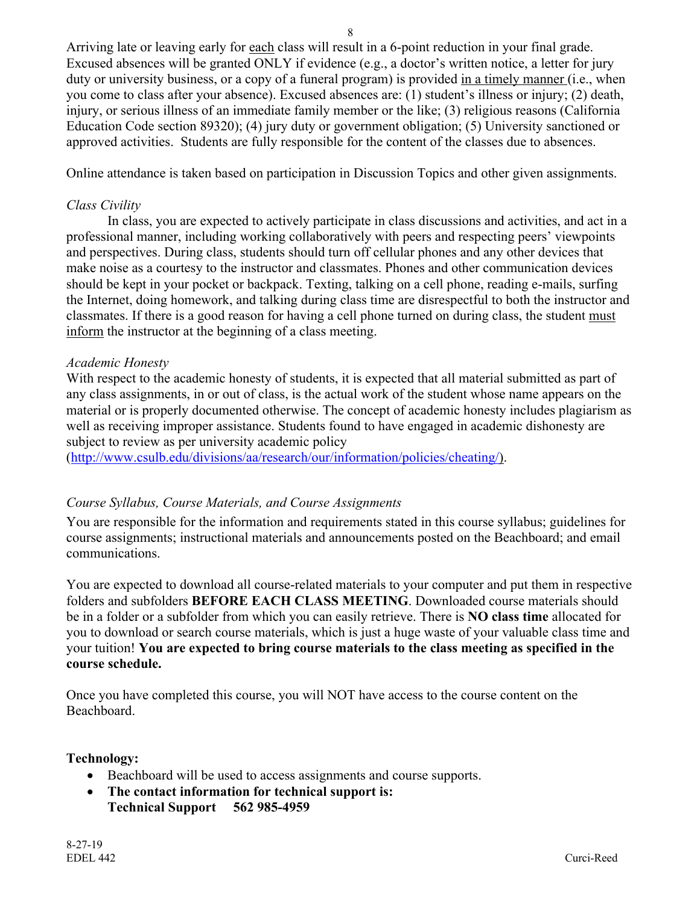Arriving late or leaving early for each class will result in a 6-point reduction in your final grade. Excused absences will be granted ONLY if evidence (e.g., a doctor's written notice, a letter for jury duty or university business, or a copy of a funeral program) is provided in a timely manner (i.e., when you come to class after your absence). Excused absences are: (1) student's illness or injury; (2) death, injury, or serious illness of an immediate family member or the like; (3) religious reasons (California Education Code section 89320); (4) jury duty or government obligation; (5) University sanctioned or approved activities. Students are fully responsible for the content of the classes due to absences.

Online attendance is taken based on participation in Discussion Topics and other given assignments.

#### *Class Civility*

In class, you are expected to actively participate in class discussions and activities, and act in a professional manner, including working collaboratively with peers and respecting peers' viewpoints and perspectives. During class, students should turn off cellular phones and any other devices that make noise as a courtesy to the instructor and classmates. Phones and other communication devices should be kept in your pocket or backpack. Texting, talking on a cell phone, reading e-mails, surfing the Internet, doing homework, and talking during class time are disrespectful to both the instructor and classmates. If there is a good reason for having a cell phone turned on during class, the student must inform the instructor at the beginning of a class meeting.

#### *Academic Honesty*

With respect to the academic honesty of students, it is expected that all material submitted as part of any class assignments, in or out of class, is the actual work of the student whose name appears on the material or is properly documented otherwise. The concept of academic honesty includes plagiarism as well as receiving improper assistance. Students found to have engaged in academic dishonesty are subject to review as per university academic policy

(http://www.csulb.edu/divisions/aa/research/our/information/policies/cheating/).

#### *Course Syllabus, Course Materials, and Course Assignments*

You are responsible for the information and requirements stated in this course syllabus; guidelines for course assignments; instructional materials and announcements posted on the Beachboard; and email communications.

You are expected to download all course-related materials to your computer and put them in respective folders and subfolders **BEFORE EACH CLASS MEETING**. Downloaded course materials should be in a folder or a subfolder from which you can easily retrieve. There is **NO class time** allocated for you to download or search course materials, which is just a huge waste of your valuable class time and your tuition! **You are expected to bring course materials to the class meeting as specified in the course schedule.**

Once you have completed this course, you will NOT have access to the course content on the Beachboard.

#### **Technology:**

- Beachboard will be used to access assignments and course supports.
- **The contact information for technical support is: Technical Support 562 985-4959**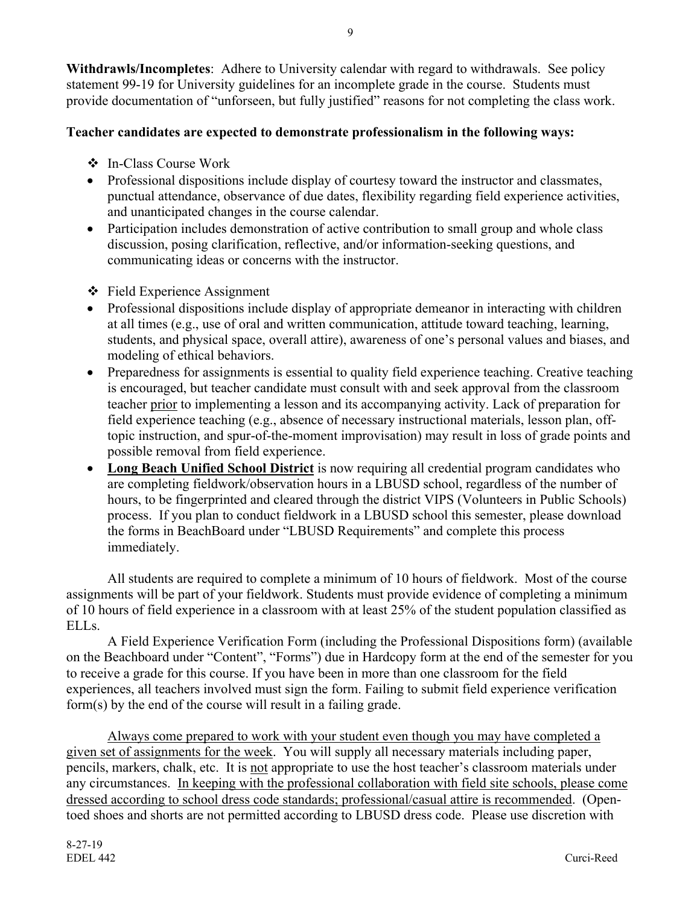**Withdrawls/Incompletes**: Adhere to University calendar with regard to withdrawals. See policy statement 99-19 for University guidelines for an incomplete grade in the course. Students must provide documentation of "unforseen, but fully justified" reasons for not completing the class work.

## **Teacher candidates are expected to demonstrate professionalism in the following ways:**

- ! In-Class Course Work
- Professional dispositions include display of courtesy toward the instructor and classmates, punctual attendance, observance of due dates, flexibility regarding field experience activities, and unanticipated changes in the course calendar.
- Participation includes demonstration of active contribution to small group and whole class discussion, posing clarification, reflective, and/or information-seeking questions, and communicating ideas or concerns with the instructor.
- ❖ Field Experience Assignment
- Professional dispositions include display of appropriate demeanor in interacting with children at all times (e.g., use of oral and written communication, attitude toward teaching, learning, students, and physical space, overall attire), awareness of one's personal values and biases, and modeling of ethical behaviors.
- Preparedness for assignments is essential to quality field experience teaching. Creative teaching is encouraged, but teacher candidate must consult with and seek approval from the classroom teacher prior to implementing a lesson and its accompanying activity. Lack of preparation for field experience teaching (e.g., absence of necessary instructional materials, lesson plan, offtopic instruction, and spur-of-the-moment improvisation) may result in loss of grade points and possible removal from field experience.
- **Long Beach Unified School District** is now requiring all credential program candidates who are completing fieldwork/observation hours in a LBUSD school, regardless of the number of hours, to be fingerprinted and cleared through the district VIPS (Volunteers in Public Schools) process. If you plan to conduct fieldwork in a LBUSD school this semester, please download the forms in BeachBoard under "LBUSD Requirements" and complete this process immediately.

All students are required to complete a minimum of 10 hours of fieldwork. Most of the course assignments will be part of your fieldwork. Students must provide evidence of completing a minimum of 10 hours of field experience in a classroom with at least 25% of the student population classified as ELL<sub>s.</sub>

A Field Experience Verification Form (including the Professional Dispositions form) (available on the Beachboard under "Content", "Forms") due in Hardcopy form at the end of the semester for you to receive a grade for this course. If you have been in more than one classroom for the field experiences, all teachers involved must sign the form. Failing to submit field experience verification form(s) by the end of the course will result in a failing grade.

Always come prepared to work with your student even though you may have completed a given set of assignments for the week. You will supply all necessary materials including paper, pencils, markers, chalk, etc. It is not appropriate to use the host teacher's classroom materials under any circumstances. In keeping with the professional collaboration with field site schools, please come dressed according to school dress code standards; professional/casual attire is recommended. (Opentoed shoes and shorts are not permitted according to LBUSD dress code. Please use discretion with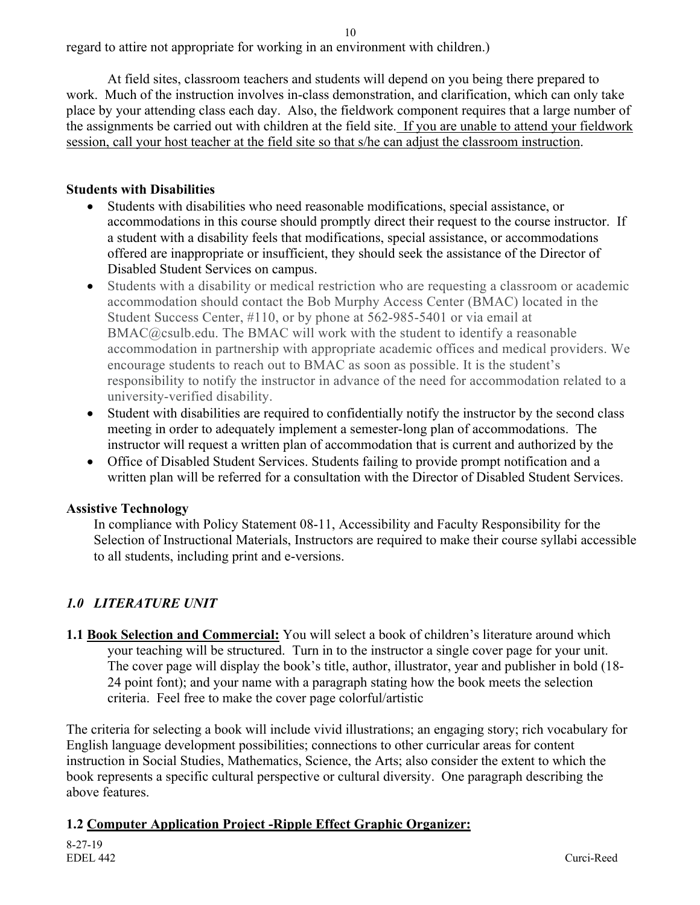regard to attire not appropriate for working in an environment with children.)

At field sites, classroom teachers and students will depend on you being there prepared to work. Much of the instruction involves in-class demonstration, and clarification, which can only take place by your attending class each day. Also, the fieldwork component requires that a large number of the assignments be carried out with children at the field site. If you are unable to attend your fieldwork session, call your host teacher at the field site so that s/he can adjust the classroom instruction.

#### **Students with Disabilities**

- Students with disabilities who need reasonable modifications, special assistance, or accommodations in this course should promptly direct their request to the course instructor. If a student with a disability feels that modifications, special assistance, or accommodations offered are inappropriate or insufficient, they should seek the assistance of the Director of Disabled Student Services on campus.
- Students with a disability or medical restriction who are requesting a classroom or academic accommodation should contact the Bob Murphy Access Center (BMAC) located in the Student Success Center, #110, or by phone at 562-985-5401 or via email at BMAC@csulb.edu. The BMAC will work with the student to identify a reasonable accommodation in partnership with appropriate academic offices and medical providers. We encourage students to reach out to BMAC as soon as possible. It is the student's responsibility to notify the instructor in advance of the need for accommodation related to a university-verified disability.
- Student with disabilities are required to confidentially notify the instructor by the second class meeting in order to adequately implement a semester-long plan of accommodations. The instructor will request a written plan of accommodation that is current and authorized by the
- Office of Disabled Student Services. Students failing to provide prompt notification and a written plan will be referred for a consultation with the Director of Disabled Student Services.

#### **Assistive Technology**

In compliance with Policy Statement 08-11, Accessibility and Faculty Responsibility for the Selection of Instructional Materials, Instructors are required to make their course syllabi accessible to all students, including print and e-versions.

## *1.0 LITERATURE UNIT*

**1.1 Book Selection and Commercial:** You will select a book of children's literature around which your teaching will be structured. Turn in to the instructor a single cover page for your unit. The cover page will display the book's title, author, illustrator, year and publisher in bold (18- 24 point font); and your name with a paragraph stating how the book meets the selection criteria. Feel free to make the cover page colorful/artistic

The criteria for selecting a book will include vivid illustrations; an engaging story; rich vocabulary for English language development possibilities; connections to other curricular areas for content instruction in Social Studies, Mathematics, Science, the Arts; also consider the extent to which the book represents a specific cultural perspective or cultural diversity. One paragraph describing the above features.

#### **1.2 Computer Application Project -Ripple Effect Graphic Organizer:**

8-27-19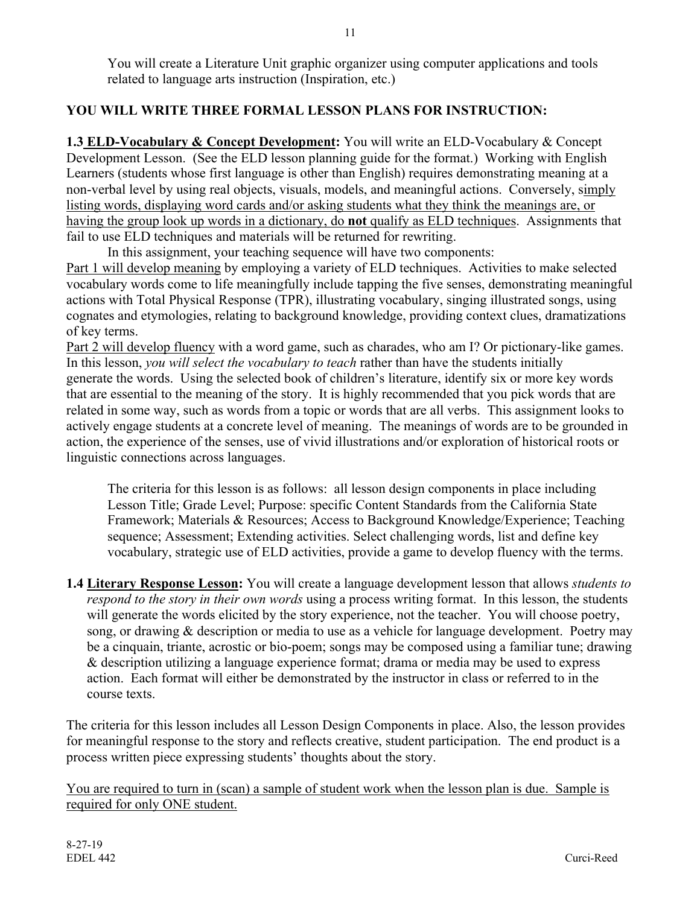You will create a Literature Unit graphic organizer using computer applications and tools related to language arts instruction (Inspiration, etc.)

## **YOU WILL WRITE THREE FORMAL LESSON PLANS FOR INSTRUCTION:**

**1.3 ELD-Vocabulary & Concept Development:** You will write an ELD-Vocabulary & Concept Development Lesson. (See the ELD lesson planning guide for the format.) Working with English Learners (students whose first language is other than English) requires demonstrating meaning at a non-verbal level by using real objects, visuals, models, and meaningful actions. Conversely, simply listing words, displaying word cards and/or asking students what they think the meanings are, or having the group look up words in a dictionary, do **not** qualify as ELD techniques. Assignments that fail to use ELD techniques and materials will be returned for rewriting.

In this assignment, your teaching sequence will have two components:

Part 1 will develop meaning by employing a variety of ELD techniques. Activities to make selected vocabulary words come to life meaningfully include tapping the five senses, demonstrating meaningful actions with Total Physical Response (TPR), illustrating vocabulary, singing illustrated songs, using cognates and etymologies, relating to background knowledge, providing context clues, dramatizations of key terms.

Part 2 will develop fluency with a word game, such as charades, who am I? Or pictionary-like games. In this lesson, *you will select the vocabulary to teach* rather than have the students initially generate the words. Using the selected book of children's literature, identify six or more key words that are essential to the meaning of the story. It is highly recommended that you pick words that are related in some way, such as words from a topic or words that are all verbs. This assignment looks to actively engage students at a concrete level of meaning. The meanings of words are to be grounded in action, the experience of the senses, use of vivid illustrations and/or exploration of historical roots or linguistic connections across languages.

The criteria for this lesson is as follows: all lesson design components in place including Lesson Title; Grade Level; Purpose: specific Content Standards from the California State Framework; Materials & Resources; Access to Background Knowledge/Experience; Teaching sequence; Assessment; Extending activities. Select challenging words, list and define key vocabulary, strategic use of ELD activities, provide a game to develop fluency with the terms.

**1.4 Literary Response Lesson:** You will create a language development lesson that allows *students to respond to the story in their own words* using a process writing format. In this lesson, the students will generate the words elicited by the story experience, not the teacher. You will choose poetry, song, or drawing & description or media to use as a vehicle for language development. Poetry may be a cinquain, triante, acrostic or bio-poem; songs may be composed using a familiar tune; drawing & description utilizing a language experience format; drama or media may be used to express action. Each format will either be demonstrated by the instructor in class or referred to in the course texts.

The criteria for this lesson includes all Lesson Design Components in place. Also, the lesson provides for meaningful response to the story and reflects creative, student participation. The end product is a process written piece expressing students' thoughts about the story.

You are required to turn in (scan) a sample of student work when the lesson plan is due. Sample is required for only ONE student.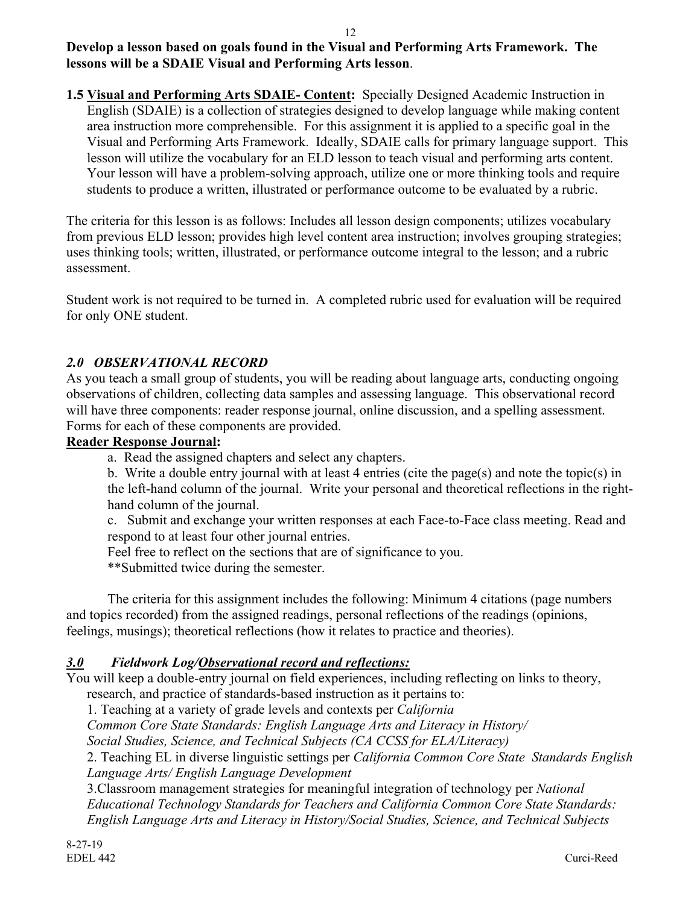#### 12 **Develop a lesson based on goals found in the Visual and Performing Arts Framework. The lessons will be a SDAIE Visual and Performing Arts lesson**.

**1.5 Visual and Performing Arts SDAIE- Content:** Specially Designed Academic Instruction in English (SDAIE) is a collection of strategies designed to develop language while making content area instruction more comprehensible. For this assignment it is applied to a specific goal in the Visual and Performing Arts Framework. Ideally, SDAIE calls for primary language support. This lesson will utilize the vocabulary for an ELD lesson to teach visual and performing arts content. Your lesson will have a problem-solving approach, utilize one or more thinking tools and require students to produce a written, illustrated or performance outcome to be evaluated by a rubric.

The criteria for this lesson is as follows: Includes all lesson design components; utilizes vocabulary from previous ELD lesson; provides high level content area instruction; involves grouping strategies; uses thinking tools; written, illustrated, or performance outcome integral to the lesson; and a rubric assessment.

Student work is not required to be turned in. A completed rubric used for evaluation will be required for only ONE student.

## *2.0 OBSERVATIONAL RECORD*

As you teach a small group of students, you will be reading about language arts, conducting ongoing observations of children, collecting data samples and assessing language. This observational record will have three components: reader response journal, online discussion, and a spelling assessment. Forms for each of these components are provided.

#### **Reader Response Journal:**

- a. Read the assigned chapters and select any chapters.
- b. Write a double entry journal with at least 4 entries (cite the page(s) and note the topic(s) in the left-hand column of the journal. Write your personal and theoretical reflections in the righthand column of the journal.
- c. Submit and exchange your written responses at each Face-to-Face class meeting. Read and respond to at least four other journal entries.

Feel free to reflect on the sections that are of significance to you.

\*\*Submitted twice during the semester.

The criteria for this assignment includes the following: Minimum 4 citations (page numbers and topics recorded) from the assigned readings, personal reflections of the readings (opinions, feelings, musings); theoretical reflections (how it relates to practice and theories).

## *3.0 Fieldwork Log/Observational record and reflections:*

You will keep a double-entry journal on field experiences, including reflecting on links to theory, research, and practice of standards-based instruction as it pertains to:

1. Teaching at a variety of grade levels and contexts per *California* 

*Common Core State Standards: English Language Arts and Literacy in History/*

*Social Studies, Science, and Technical Subjects (CA CCSS for ELA/Literacy)*

2. Teaching EL in diverse linguistic settings per *California Common Core State Standards English Language Arts/ English Language Development* 

3.Classroom management strategies for meaningful integration of technology per *National Educational Technology Standards for Teachers and California Common Core State Standards: English Language Arts and Literacy in History/Social Studies, Science, and Technical Subjects*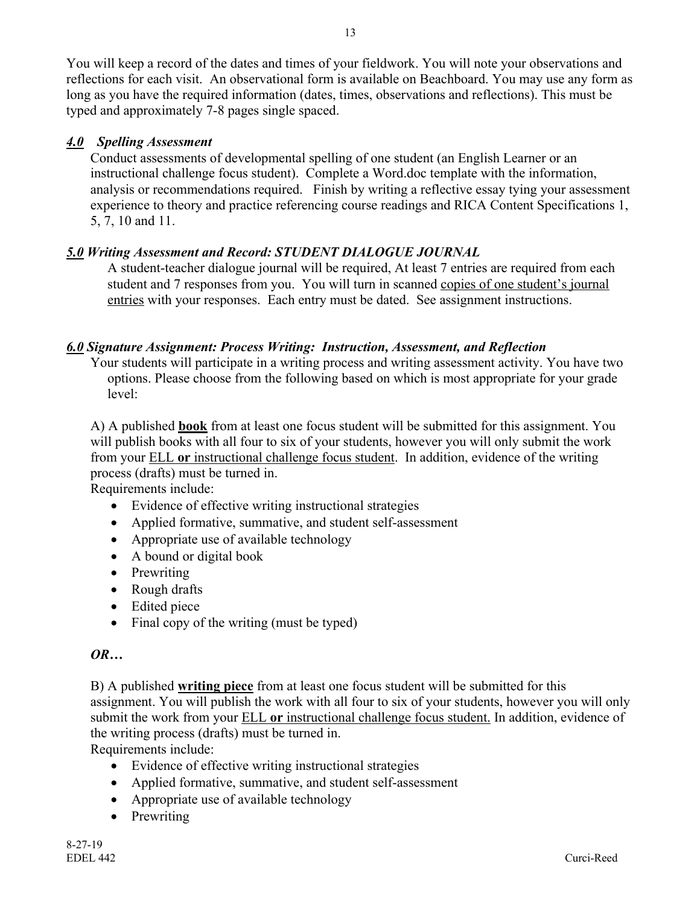You will keep a record of the dates and times of your fieldwork. You will note your observations and reflections for each visit. An observational form is available on Beachboard. You may use any form as long as you have the required information (dates, times, observations and reflections). This must be typed and approximately 7-8 pages single spaced.

### *4.0 Spelling Assessment*

Conduct assessments of developmental spelling of one student (an English Learner or an instructional challenge focus student). Complete a Word.doc template with the information, analysis or recommendations required. Finish by writing a reflective essay tying your assessment experience to theory and practice referencing course readings and RICA Content Specifications 1, 5, 7, 10 and 11.

## *5.0 Writing Assessment and Record: STUDENT DIALOGUE JOURNAL*

A student-teacher dialogue journal will be required, At least 7 entries are required from each student and 7 responses from you. You will turn in scanned copies of one student's journal entries with your responses. Each entry must be dated. See assignment instructions.

## *6.0 Signature Assignment: Process Writing: Instruction, Assessment, and Reflection*

Your students will participate in a writing process and writing assessment activity. You have two options. Please choose from the following based on which is most appropriate for your grade level:

A) A published **book** from at least one focus student will be submitted for this assignment. You will publish books with all four to six of your students, however you will only submit the work from your ELL **or** instructional challenge focus student. In addition, evidence of the writing process (drafts) must be turned in.

Requirements include:

- Evidence of effective writing instructional strategies
- Applied formative, summative, and student self-assessment
- Appropriate use of available technology
- A bound or digital book
- Prewriting
- Rough drafts
- Edited piece
- Final copy of the writing (must be typed)

#### *OR…*

B) A published **writing piece** from at least one focus student will be submitted for this assignment. You will publish the work with all four to six of your students, however you will only submit the work from your ELL **or** instructional challenge focus student. In addition, evidence of the writing process (drafts) must be turned in. Requirements include:

• Evidence of effective writing instructional strategies

- Applied formative, summative, and student self-assessment
- Appropriate use of available technology
- Prewriting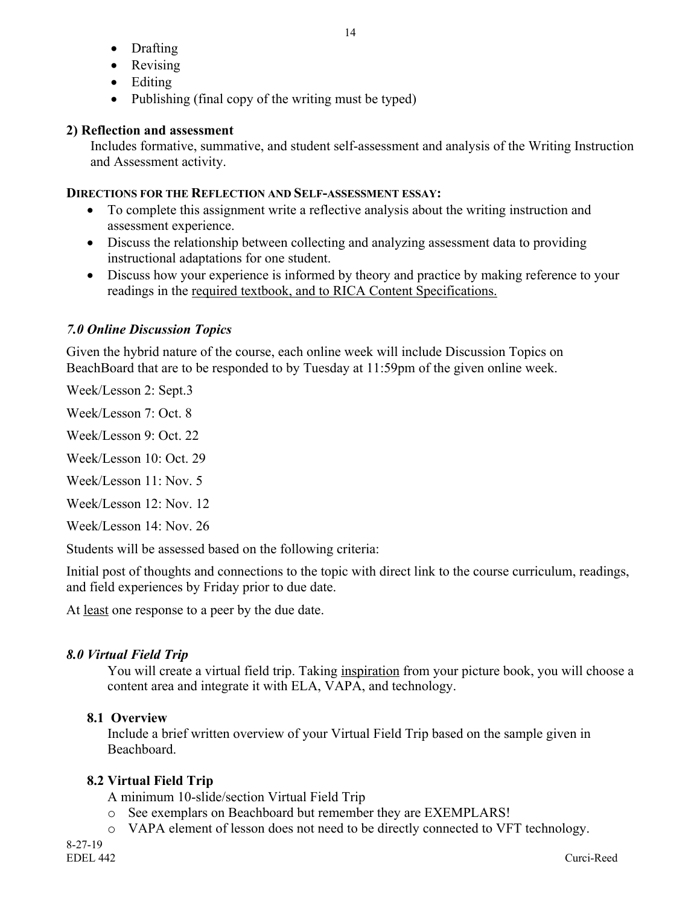- Drafting
- Revising
- Editing
- Publishing (final copy of the writing must be typed)

## **2) Reflection and assessment**

Includes formative, summative, and student self-assessment and analysis of the Writing Instruction and Assessment activity.

## **DIRECTIONS FOR THE REFLECTION AND SELF-ASSESSMENT ESSAY:**

- To complete this assignment write a reflective analysis about the writing instruction and assessment experience.
- Discuss the relationship between collecting and analyzing assessment data to providing instructional adaptations for one student.
- Discuss how your experience is informed by theory and practice by making reference to your readings in the required textbook, and to RICA Content Specifications.

## *7.0 Online Discussion Topics*

Given the hybrid nature of the course, each online week will include Discussion Topics on BeachBoard that are to be responded to by Tuesday at 11:59pm of the given online week.

Week/Lesson 2: Sept.3

Week/Lesson 7: Oct. 8

Week/Lesson 9: Oct. 22

Week/Lesson 10: Oct. 29

Week/Lesson 11: Nov. 5

Week/Lesson 12: Nov. 12

Week/Lesson 14: Nov. 26

Students will be assessed based on the following criteria:

Initial post of thoughts and connections to the topic with direct link to the course curriculum, readings, and field experiences by Friday prior to due date.

At least one response to a peer by the due date.

# *8.0 Virtual Field Trip*

You will create a virtual field trip. Taking inspiration from your picture book, you will choose a content area and integrate it with ELA, VAPA, and technology.

## **8.1 Overview**

Include a brief written overview of your Virtual Field Trip based on the sample given in Beachboard.

# **8.2 Virtual Field Trip**

A minimum 10-slide/section Virtual Field Trip

- o See exemplars on Beachboard but remember they are EXEMPLARS!
- o VAPA element of lesson does not need to be directly connected to VFT technology.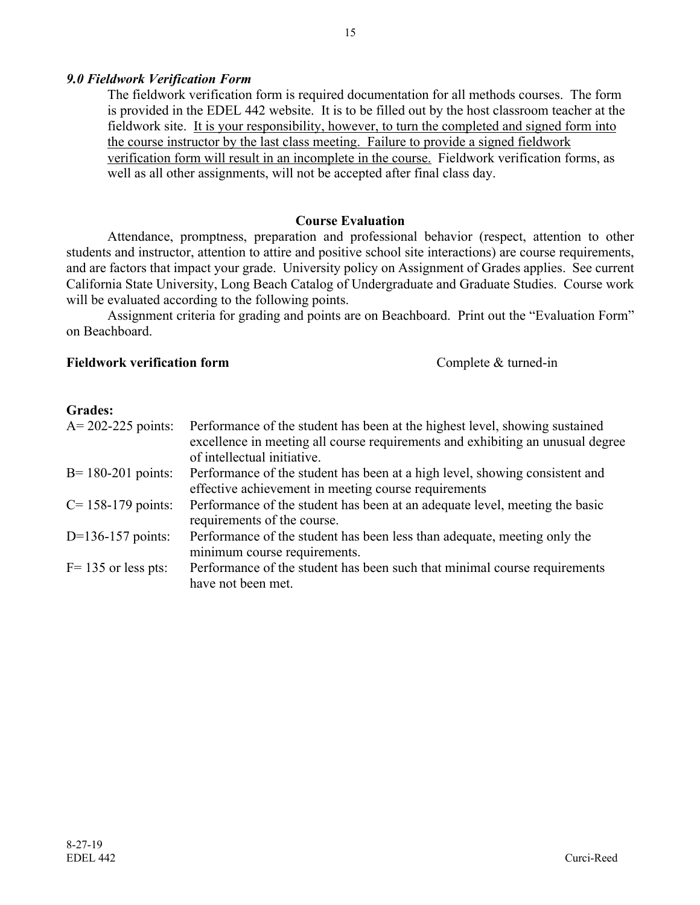#### *9.0 Fieldwork Verification Form*

The fieldwork verification form is required documentation for all methods courses. The form is provided in the EDEL 442 website. It is to be filled out by the host classroom teacher at the fieldwork site. It is your responsibility, however, to turn the completed and signed form into the course instructor by the last class meeting. Failure to provide a signed fieldwork verification form will result in an incomplete in the course. Fieldwork verification forms, as well as all other assignments, will not be accepted after final class day.

#### **Course Evaluation**

Attendance, promptness, preparation and professional behavior (respect, attention to other students and instructor, attention to attire and positive school site interactions) are course requirements, and are factors that impact your grade. University policy on Assignment of Grades applies. See current California State University, Long Beach Catalog of Undergraduate and Graduate Studies. Course work will be evaluated according to the following points.

Assignment criteria for grading and points are on Beachboard. Print out the "Evaluation Form" on Beachboard.

#### **Fieldwork verification form** Complete & turned-in

#### **Grades:**

| $A = 202 - 225$ points: | Performance of the student has been at the highest level, showing sustained<br>excellence in meeting all course requirements and exhibiting an unusual degree<br>of intellectual initiative. |
|-------------------------|----------------------------------------------------------------------------------------------------------------------------------------------------------------------------------------------|
| $B = 180-201$ points:   | Performance of the student has been at a high level, showing consistent and<br>effective achievement in meeting course requirements                                                          |
| $C = 158 - 179$ points: | Performance of the student has been at an adequate level, meeting the basic<br>requirements of the course.                                                                                   |
| $D=136-157$ points:     | Performance of the student has been less than adequate, meeting only the<br>minimum course requirements.                                                                                     |
| $F = 135$ or less pts:  | Performance of the student has been such that minimal course requirements<br>have not been met.                                                                                              |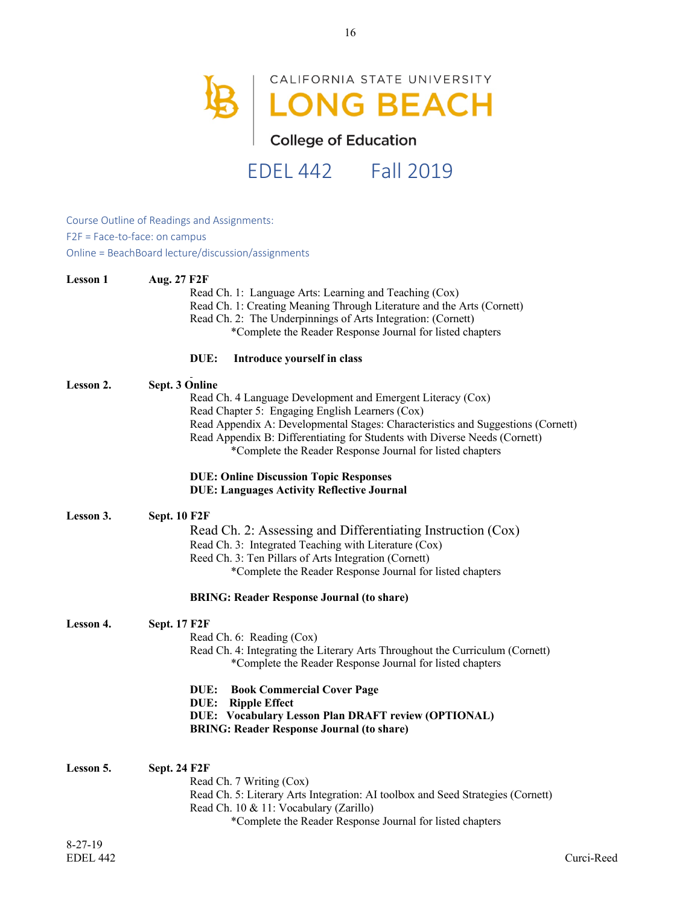

Course Outline of Readings and Assignments: F2F = Face-to-face: on campus Online = BeachBoard lecture/discussion/assignments

| <b>Lesson 1</b>  | Aug. 27 F2F<br>Read Ch. 1: Language Arts: Learning and Teaching (Cox)<br>Read Ch. 1: Creating Meaning Through Literature and the Arts (Cornett)<br>Read Ch. 2: The Underpinnings of Arts Integration: (Cornett)<br>*Complete the Reader Response Journal for listed chapters                                                                                    |
|------------------|-----------------------------------------------------------------------------------------------------------------------------------------------------------------------------------------------------------------------------------------------------------------------------------------------------------------------------------------------------------------|
|                  | Introduce yourself in class<br>DUE:                                                                                                                                                                                                                                                                                                                             |
| <b>Lesson 2.</b> | Sept. 3 Online<br>Read Ch. 4 Language Development and Emergent Literacy (Cox)<br>Read Chapter 5: Engaging English Learners (Cox)<br>Read Appendix A: Developmental Stages: Characteristics and Suggestions (Cornett)<br>Read Appendix B: Differentiating for Students with Diverse Needs (Cornett)<br>*Complete the Reader Response Journal for listed chapters |
|                  | <b>DUE: Online Discussion Topic Responses</b><br><b>DUE: Languages Activity Reflective Journal</b>                                                                                                                                                                                                                                                              |
| <b>Lesson 3.</b> | <b>Sept. 10 F2F</b><br>Read Ch. 2: Assessing and Differentiating Instruction (Cox)<br>Read Ch. 3: Integrated Teaching with Literature (Cox)<br>Reed Ch. 3: Ten Pillars of Arts Integration (Cornett)<br>*Complete the Reader Response Journal for listed chapters                                                                                               |
|                  | <b>BRING: Reader Response Journal (to share)</b>                                                                                                                                                                                                                                                                                                                |
| Lesson 4.        | <b>Sept. 17 F2F</b><br>Read Ch. 6: Reading (Cox)<br>Read Ch. 4: Integrating the Literary Arts Throughout the Curriculum (Cornett)<br>*Complete the Reader Response Journal for listed chapters                                                                                                                                                                  |
|                  | <b>Book Commercial Cover Page</b><br>DUE:<br><b>DUE:</b> Ripple Effect<br><b>DUE: Vocabulary Lesson Plan DRAFT review (OPTIONAL)</b><br><b>BRING: Reader Response Journal (to share)</b>                                                                                                                                                                        |
| Lesson 5.        | <b>Sept. 24 F2F</b><br>Read Ch. 7 Writing (Cox)<br>Read Ch. 5: Literary Arts Integration: AI toolbox and Seed Strategies (Cornett)<br>Read Ch. 10 & 11: Vocabulary (Zarillo)<br>*Complete the Reader Response Journal for listed chapters                                                                                                                       |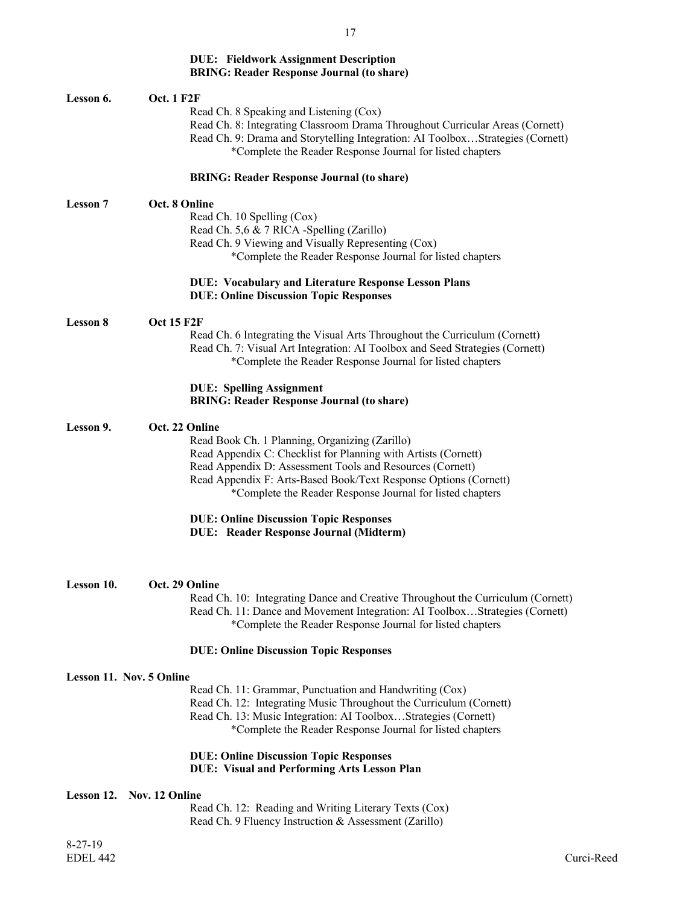#### **DUE: Fieldwork Assignment Description BRING: Reader Response Journal (to share)**

| Lesson 6.       | <b>Oct. 1 F2F</b>                                                                                   |
|-----------------|-----------------------------------------------------------------------------------------------------|
|                 | Read Ch. 8 Speaking and Listening (Cox)                                                             |
|                 | Read Ch. 8: Integrating Classroom Drama Throughout Curricular Areas (Cornett)                       |
|                 | Read Ch. 9: Drama and Storytelling Integration: AI ToolboxStrategies (Cornett)                      |
|                 | *Complete the Reader Response Journal for listed chapters                                           |
|                 |                                                                                                     |
|                 | <b>BRING: Reader Response Journal (to share)</b>                                                    |
| <b>Lesson 7</b> | Oct. 8 Online                                                                                       |
|                 | Read Ch. 10 Spelling (Cox)                                                                          |
|                 | Read Ch. 5,6 & 7 RICA -Spelling (Zarillo)                                                           |
|                 | Read Ch. 9 Viewing and Visually Representing (Cox)                                                  |
|                 | *Complete the Reader Response Journal for listed chapters                                           |
|                 | <b>DUE: Vocabulary and Literature Response Lesson Plans</b>                                         |
|                 | <b>DUE: Online Discussion Topic Responses</b>                                                       |
| <b>Lesson 8</b> | <b>Oct 15 F2F</b>                                                                                   |
|                 | Read Ch. 6 Integrating the Visual Arts Throughout the Curriculum (Cornett)                          |
|                 | Read Ch. 7: Visual Art Integration: AI Toolbox and Seed Strategies (Cornett)                        |
|                 | *Complete the Reader Response Journal for listed chapters                                           |
|                 | <b>DUE: Spelling Assignment</b>                                                                     |
|                 | <b>BRING: Reader Response Journal (to share)</b>                                                    |
|                 |                                                                                                     |
| Lesson 9.       | Oct. 22 Online                                                                                      |
|                 | Read Book Ch. 1 Planning, Organizing (Zarillo)                                                      |
|                 | Read Appendix C: Checklist for Planning with Artists (Cornett)                                      |
|                 | Read Appendix D: Assessment Tools and Resources (Cornett)                                           |
|                 | Read Appendix F: Arts-Based Book/Text Response Options (Cornett)                                    |
|                 | *Complete the Reader Response Journal for listed chapters                                           |
|                 | <b>DUE: Online Discussion Topic Responses</b>                                                       |
|                 | <b>DUE:</b> Reader Response Journal (Midterm)                                                       |
|                 |                                                                                                     |
| Lesson 10.      | Oct. 29 Online                                                                                      |
|                 | Read Ch. 10: Integrating Dance and Creative Throughout the Curriculum (Cornett)                     |
|                 | Read Ch. 11: Dance and Movement Integration: AI ToolboxStrategies (Cornett)                         |
|                 | *Complete the Reader Response Journal for listed chapters                                           |
|                 | <b>DUE: Online Discussion Topic Responses</b>                                                       |
|                 | <b>Lesson 11. Nov. 5 Online</b>                                                                     |
|                 | Read Ch. 11: Grammar, Punctuation and Handwriting (Cox)                                             |
|                 | Read Ch. 12: Integrating Music Throughout the Curriculum (Cornett)                                  |
|                 | Read Ch. 13: Music Integration: AI ToolboxStrategies (Cornett)                                      |
|                 | *Complete the Reader Response Journal for listed chapters                                           |
|                 |                                                                                                     |
|                 | <b>DUE: Online Discussion Topic Responses</b><br><b>DUE: Visual and Performing Arts Lesson Plan</b> |
|                 | Lesson 12. Nov. 12 Online                                                                           |
|                 | Read Ch. 12: Reading and Writing Literary Texts (Cox)                                               |
|                 | Read Ch. 9 Fluency Instruction & Assessment (Zarillo)                                               |
|                 |                                                                                                     |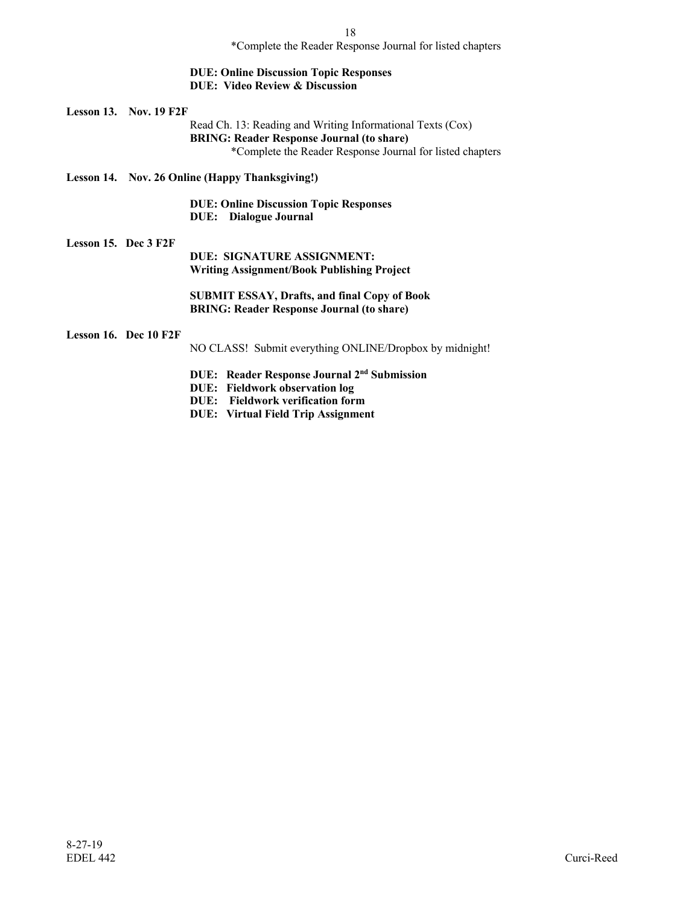\*Complete the Reader Response Journal for listed chapters

#### **DUE: Online Discussion Topic Responses DUE: Video Review & Discussion**

**Lesson 13. Nov. 19 F2F**

Read Ch. 13: Reading and Writing Informational Texts (Cox) **BRING: Reader Response Journal (to share)** \*Complete the Reader Response Journal for listed chapters

**Lesson 14. Nov. 26 Online (Happy Thanksgiving!)**

 **DUE: Online Discussion Topic Responses DUE: Dialogue Journal** 

#### **Lesson 15. Dec 3 F2F**

**DUE: SIGNATURE ASSIGNMENT: Writing Assignment/Book Publishing Project**

**SUBMIT ESSAY, Drafts, and final Copy of Book BRING: Reader Response Journal (to share)**

#### **Lesson 16. Dec 10 F2F**

NO CLASS! Submit everything ONLINE/Dropbox by midnight!

- **DUE: Reader Response Journal 2nd Submission**
- **DUE: Fieldwork observation log**
- **DUE: Fieldwork verification form**
- **DUE: Virtual Field Trip Assignment**